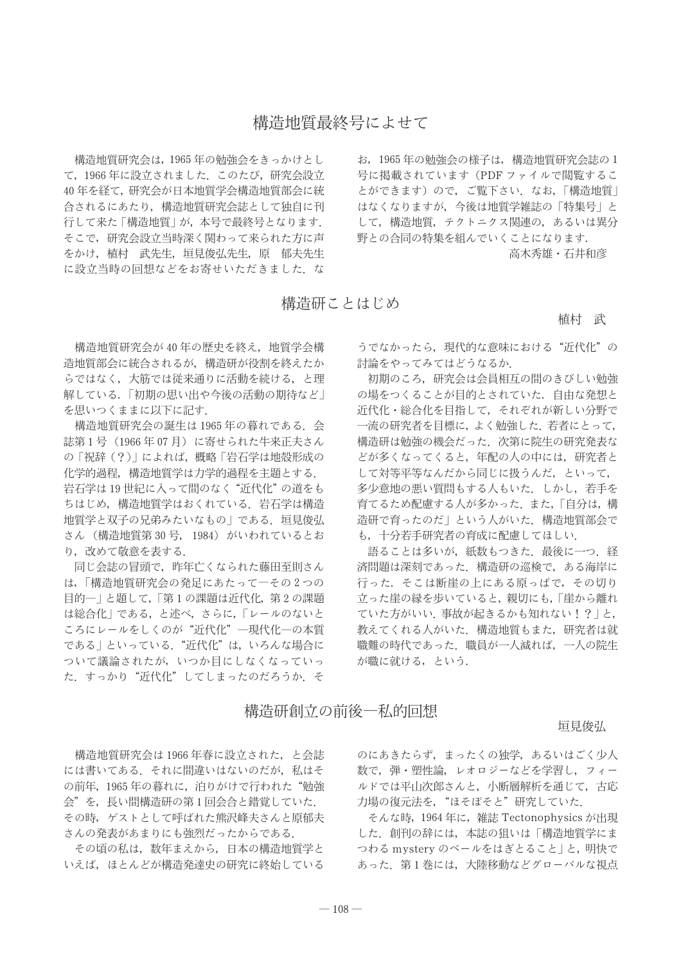構造地質研究会は、1965年の勉強会をきっかけとし て、1966年に設立されました。このたび、研究会設立 40年を経て、研究会が日本地質学会構造地質部会に統 合されるにあたり、構造地質研究会誌として独自に刊 行して来た「構造地質」が、本号で最終号となります. そこで、研究会設立当時深く関わって来られた方に声 をかけ、植村 武先生、垣見俊弘先生、原 郁夫先生 に設立当時の回想などをお寄せいただきました。な

お. 1965年の勉強会の様子は、構造地質研究会誌の1 号に掲載されています (PDF ファイルで閲覧するこ とができます)ので、ご覧下さい。なお、「構造地質」 はなくなりますが、今後は地質学雑誌の「特集号」と して、構造地質、テクトニクス関連の、あるいは異分 野との合同の特集を組んでいくことになります.

高木秀雄・石井和彦

## 構造研ことはじめ

植村 武

構造地質研究会が40年の歴史を終え、地質学会構 造地質部会に統合されるが、構造研が役割を終えたか らではなく、大筋では従来通りに活動を続ける、と理 解している.「初期の思い出や今後の活動の期待など」 を思いつくままに以下に記す.

構造地質研究会の誕生は1965年の暮れである。会 誌第1号 (1966年07月)に寄せられた牛来正夫さん の「祝辞(?)」によれば、概略「岩石学は地殻形成の 化学的過程,構造地質学は力学的過程を主題とする. 岩石学は19世紀に入って間のなく"近代化"の道をも ちはじめ、構造地質学はおくれている。岩石学は構造 地質学と双子の兄弟みたいなもの」である。 垣見俊弘 さん (構造地質第30号, 1984) がいわれているとお り、改めて敬意を表する.

同じ会誌の冒頭で、昨年亡くなられた藤田至則さん は、「構造地質研究会の発足にあたってーその2つの 目的一」と題して、「第1の課題は近代化、第2の課題 は総合化」である、と述べ、さらに、「レールのないと ころにレールをしくのが"近代化"一現代化一の本質 である」といっている. "近代化"は、いろんな場合に ついて議論されたが、いつか目にしなくなっていっ た. すっかり"近代化"してしまったのだろうか. そ

うでなかったら、現代的な意味における"沂代化"の 討論をやってみてはどうなるか

初期のころ、研究会は会員相互の間のきびしい勉強 の場をつくることが目的とされていた。自由な発想と 近代化・総合化を目指して、それぞれが新しい分野で 一流の研究者を目標に、よく勉強した。若者にとって、 構造研は勉強の機会だった。次第に院生の研究発表な どが多くなってくると、年配の人の中には、研究者と して対等平等なんだから同じに扱うんだ、といって, 多少意地の悪い質問もする人もいた。しかし、若手を 育てるため配慮する人が多かった. また,「自分は, 構 造研で育ったのだ|という人がいた. 構造地質部会で も、十分若手研究者の育成に配慮してほしい.

語ることは多いが、紙数もつきた、最後に一つ、経 済問題は深刻であった、構造研の巡検で、ある海岸に 行った。そこは断崖の上にある原っぱで、その切り 立った崖の縁を歩いていると、親切にも、「崖から離れ ていた方がいい. 事故が起きるかも知れない!?」と, 教えてくれる人がいた、構造地質もまた、研究者は就 職難の時代であった。職員が一人減れば、一人の院生 が職に就ける、という.

## 構造研創立の前後―私的回想

## 垣見俊弘

構造地質研究会は1966年春に設立された、と会誌 には書いてある。それに間違いはないのだが、私はそ の前年、1965年の暮れに、泊りがけで行われた"勉強 会"を、長い間構造研の第1回会合と錯覚していた. その時、ゲストとして呼ばれた熊沢峰夫さんと原郁夫 さんの発表があまりにも強烈だったからである。

その頃の私は、数年まえから、日本の構造地質学と いえば、ほとんどが構造発達史の研究に終始している のにあきたらず、まったくの独学、あるいはごく少人 数で、弾・塑性論、レオロジーなどを学習し、フィー ルドでは平山次郎さんと、小断層解析を通じて、古応 力場の復元法を、"ほそぼそと"研究していた.

そんな時, 1964年に、雑誌 Tectonophysics が出現 した. 創刊の辞には、本誌の狙いは「構造地質学にま つわる mystery のベールをはぎとること | と、明快で あった. 第1巻には、大陸移動などグローバルな視点